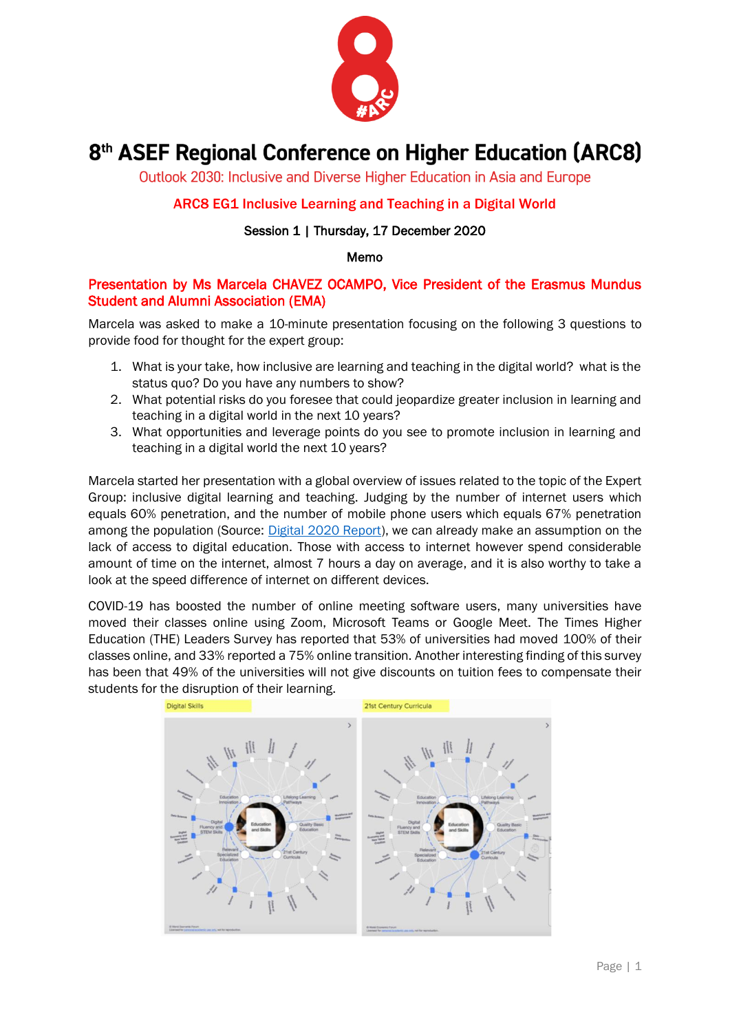

# 8<sup>th</sup> ASEF Regional Conference on Higher Education (ARC8)

Outlook 2030: Inclusive and Diverse Higher Education in Asia and Europe

# ARC8 EG1 Inclusive Learning and Teaching in a Digital World

## Session 1 | Thursday, 17 December 2020

### Memo

# Presentation by Ms Marcela CHAVEZ OCAMPO, Vice President of the Erasmus Mundus Student and Alumni Association (EMA)

Marcela was asked to make a 10-minute presentation focusing on the following 3 questions to provide food for thought for the expert group:

- 1. What is your take, how inclusive are learning and teaching in the digital world? what is the status quo? Do you have any numbers to show?
- 2. What potential risks do you foresee that could jeopardize greater inclusion in learning and teaching in a digital world in the next 10 years?
- 3. What opportunities and leverage points do you see to promote inclusion in learning and teaching in a digital world the next 10 years?

Marcela started her presentation with a global overview of issues related to the topic of the Expert Group: inclusive digital learning and teaching. Judging by the number of internet users which equals 60% penetration, and the number of mobile phone users which equals 67% penetration among the population (Source: [Digital 2020 Report\)](https://wearesocial.com/digital-2020), we can already make an assumption on the lack of access to digital education. Those with access to internet however spend considerable amount of time on the internet, almost 7 hours a day on average, and it is also worthy to take a look at the speed difference of internet on different devices.

COVID-19 has boosted the number of online meeting software users, many universities have moved their classes online using Zoom, Microsoft Teams or Google Meet. The Times Higher Education (THE) Leaders Survey has reported that 53% of universities had moved 100% of their classes online, and 33% reported a 75% online transition. Another interesting finding of this survey has been that 49% of the universities will not give discounts on tuition fees to compensate their students for the disruption of their learning.

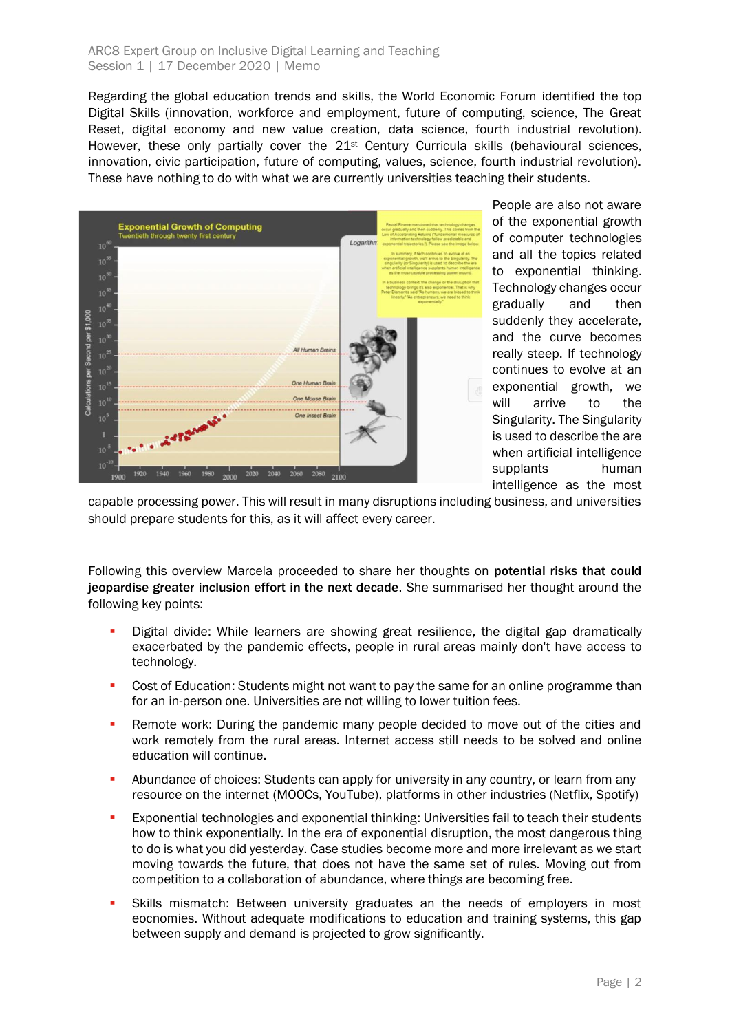Regarding the global education trends and skills, the World Economic Forum identified the top Digital Skills (innovation, workforce and employment, future of computing, science, The Great Reset, digital economy and new value creation, data science, fourth industrial revolution). However, these only partially cover the 21<sup>st</sup> Century Curricula skills (behavioural sciences, innovation, civic participation, future of computing, values, science, fourth industrial revolution). These have nothing to do with what we are currently universities teaching their students.



People are also not aware of the exponential growth of computer technologies and all the topics related to exponential thinking. Technology changes occur gradually and then suddenly they accelerate, and the curve becomes really steep. If technology continues to evolve at an exponential growth, we will arrive to the Singularity. The Singularity is used to describe the are when artificial intelligence supplants human intelligence as the most

capable processing power. This will result in many disruptions including business, and universities should prepare students for this, as it will affect every career.

Following this overview Marcela proceeded to share her thoughts on potential risks that could jeopardise greater inclusion effort in the next decade. She summarised her thought around the following key points:

- Digital divide: While learners are showing great resilience, the digital gap dramatically exacerbated by the pandemic effects, people in rural areas mainly don't have access to technology.
- **Cost of Education: Students might not want to pay the same for an online programme than** for an in-person one. Universities are not willing to lower tuition fees.
- **Remote work: During the pandemic many people decided to move out of the cities and** work remotely from the rural areas. Internet access still needs to be solved and online education will continue.
- **•** Abundance of choices: Students can apply for university in any country, or learn from any resource on the internet (MOOCs, YouTube), platforms in other industries (Netflix, Spotify)
- **Exponential technologies and exponential thinking: Universities fail to teach their students** how to think exponentially. In the era of exponential disruption, the most dangerous thing to do is what you did yesterday. Case studies become more and more irrelevant as we start moving towards the future, that does not have the same set of rules. Moving out from competition to a collaboration of abundance, where things are becoming free.
- **EXIM** Skills mismatch: Between university graduates an the needs of employers in most eocnomies. Without adequate modifications to education and training systems, this gap between supply and demand is projected to grow significantly.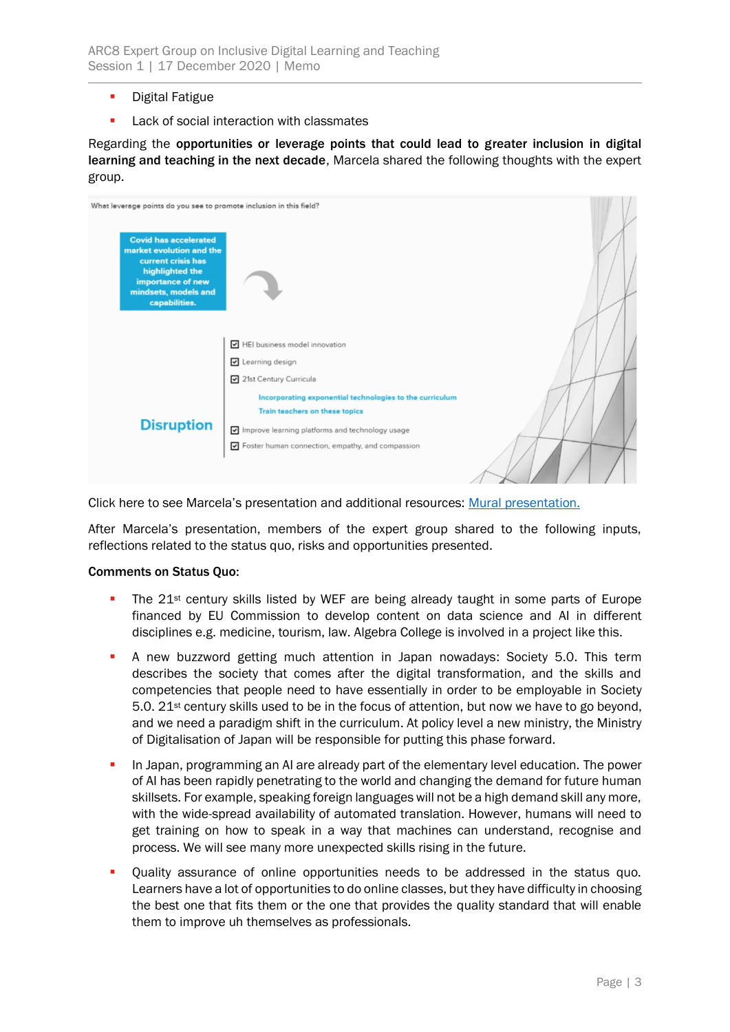- Digital Fatigue
- Lack of social interaction with classmates

Regarding the opportunities or leverage points that could lead to greater inclusion in digital learning and teaching in the next decade, Marcela shared the following thoughts with the expert group.

| HEI business model innovation                            |                                                                     |
|----------------------------------------------------------|---------------------------------------------------------------------|
| Learning design                                          |                                                                     |
| 21st Century Curricula                                   |                                                                     |
| Incorporating exponential technologies to the curriculum |                                                                     |
| Train teachers on these topics                           |                                                                     |
| Improve learning platforms and technology usage          |                                                                     |
| Foster human connection, empathy, and compassion         |                                                                     |
|                                                          | What leverage points do you see to promote inclusion in this field? |

Click here to see Marcela's presentation and additional resources: [Mural presentation.](https://app.mural.co/t/processes8532/m/processes8532/1607885489447/2759a01786cab1061dd4c12c596063037a60e84d)

After Marcela's presentation, members of the expert group shared to the following inputs, reflections related to the status quo, risks and opportunities presented.

#### Comments on Status Quo:

- The  $21^{st}$  century skills listed by WEF are being already taught in some parts of Europe financed by EU Commission to develop content on data science and AI in different disciplines e.g. medicine, tourism, law. Algebra College is involved in a project like this.
- **E** A new buzzword getting much attention in Japan nowadays: Society 5.0. This term describes the society that comes after the digital transformation, and the skills and competencies that people need to have essentially in order to be employable in Society 5.0. 21st century skills used to be in the focus of attention, but now we have to go beyond, and we need a paradigm shift in the curriculum. At policy level a new ministry, the Ministry of Digitalisation of Japan will be responsible for putting this phase forward.
- **•** In Japan, programming an AI are already part of the elementary level education. The power of AI has been rapidly penetrating to the world and changing the demand for future human skillsets. For example, speaking foreign languages will not be a high demand skill any more, with the wide-spread availability of automated translation. However, humans will need to get training on how to speak in a way that machines can understand, recognise and process. We will see many more unexpected skills rising in the future.
- Quality assurance of online opportunities needs to be addressed in the status quo. Learners have a lot of opportunities to do online classes, but they have difficulty in choosing the best one that fits them or the one that provides the quality standard that will enable them to improve uh themselves as professionals.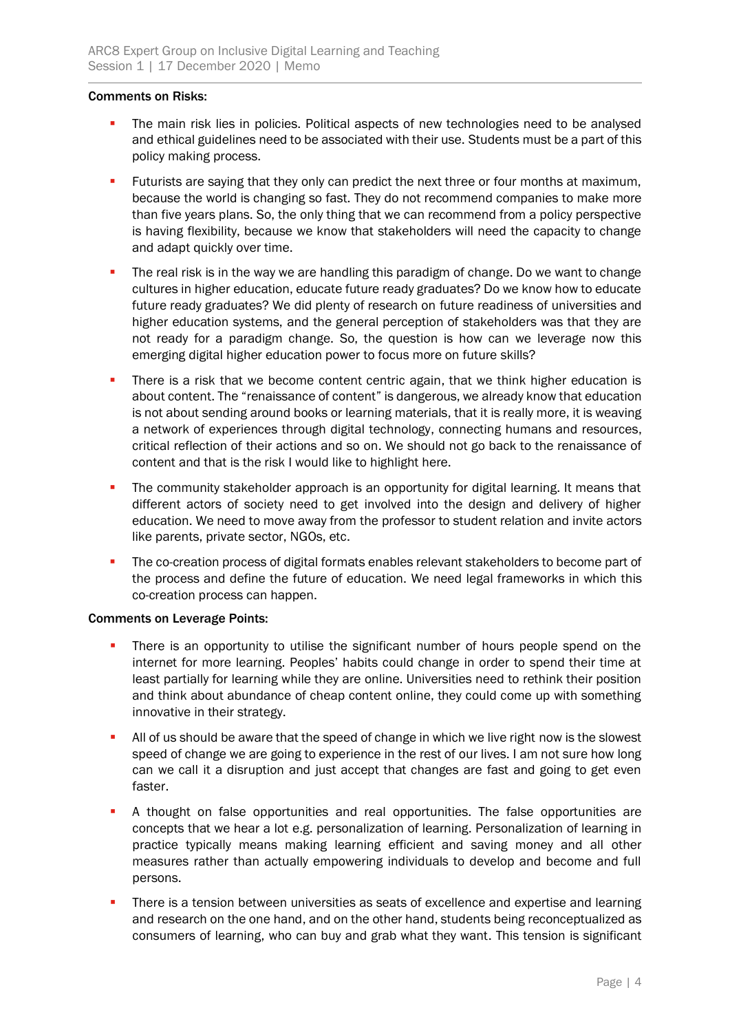### Comments on Risks:

- The main risk lies in policies. Political aspects of new technologies need to be analysed and ethical guidelines need to be associated with their use. Students must be a part of this policy making process.
- **EXECT FUTURIER 1** Futurists are saying that they only can predict the next three or four months at maximum, because the world is changing so fast. They do not recommend companies to make more than five years plans. So, the only thing that we can recommend from a policy perspective is having flexibility, because we know that stakeholders will need the capacity to change and adapt quickly over time.
- **•** The real risk is in the way we are handling this paradigm of change. Do we want to change cultures in higher education, educate future ready graduates? Do we know how to educate future ready graduates? We did plenty of research on future readiness of universities and higher education systems, and the general perception of stakeholders was that they are not ready for a paradigm change. So, the question is how can we leverage now this emerging digital higher education power to focus more on future skills?
- **•** There is a risk that we become content centric again, that we think higher education is about content. The "renaissance of content" is dangerous, we already know that education is not about sending around books or learning materials, that it is really more, it is weaving a network of experiences through digital technology, connecting humans and resources, critical reflection of their actions and so on. We should not go back to the renaissance of content and that is the risk I would like to highlight here.
- **•** The community stakeholder approach is an opportunity for digital learning. It means that different actors of society need to get involved into the design and delivery of higher education. We need to move away from the professor to student relation and invite actors like parents, private sector, NGOs, etc.
- **·** The co-creation process of digital formats enables relevant stakeholders to become part of the process and define the future of education. We need legal frameworks in which this co-creation process can happen.

### Comments on Leverage Points:

- There is an opportunity to utilise the significant number of hours people spend on the internet for more learning. Peoples' habits could change in order to spend their time at least partially for learning while they are online. Universities need to rethink their position and think about abundance of cheap content online, they could come up with something innovative in their strategy.
- All of us should be aware that the speed of change in which we live right now is the slowest speed of change we are going to experience in the rest of our lives. I am not sure how long can we call it a disruption and just accept that changes are fast and going to get even faster.
- **•** A thought on false opportunities and real opportunities. The false opportunities are concepts that we hear a lot e.g. personalization of learning. Personalization of learning in practice typically means making learning efficient and saving money and all other measures rather than actually empowering individuals to develop and become and full persons.
- **•** There is a tension between universities as seats of excellence and expertise and learning and research on the one hand, and on the other hand, students being reconceptualized as consumers of learning, who can buy and grab what they want. This tension is significant